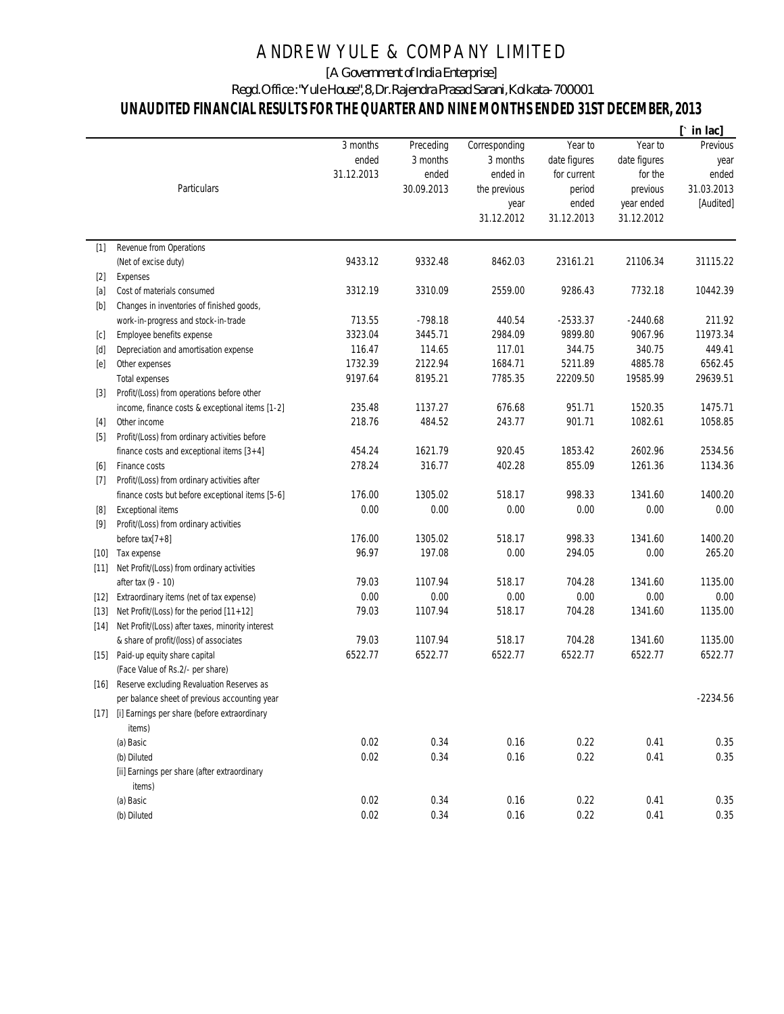## ANDREW YULE & COMPANY LIMITED

[A Government of India Enterprise]

Regd. Office : "Yule House", 8, Dr. Rajendra Prasad Sarani, Kolkata-700001

## **UNAUDITED FINANCIAL RESULTS FOR THE QUARTER AND NINE MONTHS ENDED 31ST DECEMBER, 2013**

|        |                                                   |            |            |               |              |              | $[\cdot \text{ in } \text{lac}]$ |
|--------|---------------------------------------------------|------------|------------|---------------|--------------|--------------|----------------------------------|
|        |                                                   | 3 months   | Preceding  | Corresponding | Year to      | Year to      | Previous                         |
|        |                                                   | ended      | 3 months   | 3 months      | date figures | date figures | year                             |
|        |                                                   | 31.12.2013 | ended      | ended in      | for current  | for the      | ended                            |
|        | <b>Particulars</b>                                |            | 30.09.2013 | the previous  | period       | previous     | 31.03.2013                       |
|        |                                                   |            |            | year          | ended        | year ended   | [Audited]                        |
|        |                                                   |            |            | 31.12.2012    | 31.12.2013   | 31.12.2012   |                                  |
| $[1]$  | Revenue from Operations                           |            |            |               |              |              |                                  |
|        | (Net of excise duty)                              | 9433.12    | 9332.48    | 8462.03       | 23161.21     | 21106.34     | 31115.22                         |
| $[2]$  | Expenses                                          |            |            |               |              |              |                                  |
| $[a]$  | Cost of materials consumed                        | 3312.19    | 3310.09    | 2559.00       | 9286.43      | 7732.18      | 10442.39                         |
|        | Changes in inventories of finished goods,         |            |            |               |              |              |                                  |
|        | work-in-progress and stock-in-trade               | 713.55     | $-798.18$  | 440.54        | $-2533.37$   | $-2440.68$   | 211.92                           |
| [c]    | Employee benefits expense                         | 3323.04    | 3445.71    | 2984.09       | 9899.80      | 9067.96      | 11973.34                         |
| [d]    | Depreciation and amortisation expense             | 116.47     | 114.65     | 117.01        | 344.75       | 340.75       | 449.41                           |
| [e]    | Other expenses                                    | 1732.39    | 2122.94    | 1684.71       | 5211.89      | 4885.78      | 6562.45                          |
|        | <b>Total expenses</b>                             | 9197.64    | 8195.21    | 7785.35       | 22209.50     | 19585.99     | 29639.51                         |
| $[3]$  | Profit/(Loss) from operations before other        |            |            |               |              |              |                                  |
|        | income, finance costs & exceptional items [1-2]   | 235.48     | 1137.27    | 676.68        | 951.71       | 1520.35      | 1475.71                          |
| $[4]$  | Other income                                      | 218.76     | 484.52     | 243.77        | 901.71       | 1082.61      | 1058.85                          |
| $[5]$  | Profit/(Loss) from ordinary activities before     |            |            |               |              |              |                                  |
|        | finance costs and exceptional items $[3+4]$       | 454.24     | 1621.79    | 920.45        | 1853.42      | 2602.96      | 2534.56                          |
| [6]    | Finance costs                                     | 278.24     | 316.77     | 402.28        | 855.09       | 1261.36      | 1134.36                          |
| $[7]$  | Profit/(Loss) from ordinary activities after      |            |            |               |              |              |                                  |
|        | finance costs but before exceptional items [5-6]  | 176.00     | 1305.02    | 518.17        | 998.33       | 1341.60      | 1400.20                          |
| [8]    | <b>Exceptional items</b>                          | 0.00       | 0.00       | 0.00          | 0.00         | 0.00         | 0.00                             |
| $[9]$  | Profit/(Loss) from ordinary activities            |            |            |               |              |              |                                  |
|        | before tax[7+8]                                   | 176.00     | 1305.02    | 518.17        | 998.33       | 1341.60      | 1400.20                          |
| $[10]$ | Tax expense                                       | 96.97      | 197.08     | 0.00          | 294.05       | 0.00         | 265.20                           |
| [11]   | Net Profit/(Loss) from ordinary activities        |            |            |               |              |              |                                  |
|        | after tax (9 - 10)                                | 79.03      | 1107.94    | 518.17        | 704.28       | 1341.60      | 1135.00                          |
| $[12]$ | Extraordinary items (net of tax expense)          | 0.00       | 0.00       | 0.00          | 0.00         | 0.00         | 0.00                             |
| $[13]$ | Net Profit/(Loss) for the period [11+12]          | 79.03      | 1107.94    | 518.17        | 704.28       | 1341.60      | 1135.00                          |
| $[14]$ | Net Profit/(Loss) after taxes, minority interest  |            |            |               |              |              |                                  |
|        | & share of profit/(loss) of associates            | 79.03      | 1107.94    | 518.17        | 704.28       | 1341.60      | 1135.00                          |
| $[15]$ | Paid-up equity share capital                      | 6522.77    | 6522.77    | 6522.77       | 6522.77      | 6522.77      | 6522.77                          |
|        | (Face Value of Rs.2/- per share)                  |            |            |               |              |              |                                  |
|        | [16] Reserve excluding Revaluation Reserves as    |            |            |               |              |              |                                  |
|        | per balance sheet of previous accounting year     |            |            |               |              |              | $-2234.56$                       |
|        | [17] [i] Earnings per share (before extraordinary |            |            |               |              |              |                                  |
|        | items)                                            |            |            |               |              |              |                                  |
|        | (a) Basic                                         | 0.02       | 0.34       | 0.16          | 0.22         | 0.41         | 0.35                             |
|        | (b) Diluted                                       | 0.02       | 0.34       | 0.16          | 0.22         | 0.41         | 0.35                             |
|        | [ii] Earnings per share (after extraordinary      |            |            |               |              |              |                                  |
|        | items)                                            |            |            |               |              |              |                                  |
|        | (a) Basic                                         | 0.02       | 0.34       | 0.16          | 0.22         | 0.41         | 0.35                             |
|        | (b) Diluted                                       | 0.02       | 0.34       | 0.16          | 0.22         | 0.41         | 0.35                             |